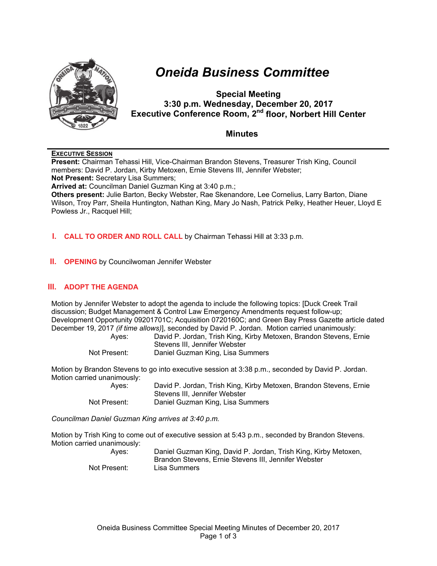

# *Oneida Business Committee*

# **Special Meeting 3:30 p.m. Wednesday, December 20, 2017 Executive Conference Room, 2nd floor, Norbert Hill Center**

## **Minutes**

### **EXECUTIVE SESSION**

**Present:** Chairman Tehassi Hill, Vice-Chairman Brandon Stevens, Treasurer Trish King, Council members: David P. Jordan, Kirby Metoxen, Ernie Stevens III, Jennifer Webster; **Not Present:** Secretary Lisa Summers; **Arrived at:** Councilman Daniel Guzman King at 3:40 p.m.; **Others present:** Julie Barton, Becky Webster, Rae Skenandore, Lee Cornelius, Larry Barton, Diane Wilson, Troy Parr, Sheila Huntington, Nathan King, Mary Jo Nash, Patrick Pelky, Heather Heuer, Lloyd E Powless Jr., Racquel Hill;

#### **I. CALL TO ORDER AND ROLL CALL** by Chairman Tehassi Hill at 3:33 p.m.

**II. OPENING** by Councilwoman Jennifer Webster

## **III. ADOPT THE AGENDA**

Motion by Jennifer Webster to adopt the agenda to include the following topics: [Duck Creek Trail discussion; Budget Management & Control Law Emergency Amendments request follow-up; Development Opportunity 09201701C; Acquisition 0720160C; and Green Bay Press Gazette article dated December 19, 2017 *(if time allows)*], seconded by David P. Jordan. Motion carried unanimously:

| Aves:        | David P. Jordan, Trish King, Kirby Metoxen, Brandon Stevens, Ernie |
|--------------|--------------------------------------------------------------------|
|              | Stevens III. Jennifer Webster                                      |
| Not Present: | Daniel Guzman King, Lisa Summers                                   |

Motion by Brandon Stevens to go into executive session at 3:38 p.m., seconded by David P. Jordan. Motion carried unanimously:

| Aves:        | David P. Jordan, Trish King, Kirby Metoxen, Brandon Stevens, Ernie |
|--------------|--------------------------------------------------------------------|
|              | Stevens III, Jennifer Webster                                      |
| Not Present: | Daniel Guzman King, Lisa Summers                                   |

*Councilman Daniel Guzman King arrives at 3:40 p.m.*

Motion by Trish King to come out of executive session at 5:43 p.m., seconded by Brandon Stevens. Motion carried unanimously:

| Aves:        | Daniel Guzman King, David P. Jordan, Trish King, Kirby Metoxen, |
|--------------|-----------------------------------------------------------------|
|              | Brandon Stevens, Ernie Stevens III, Jennifer Webster            |
| Not Present: | Lisa Summers                                                    |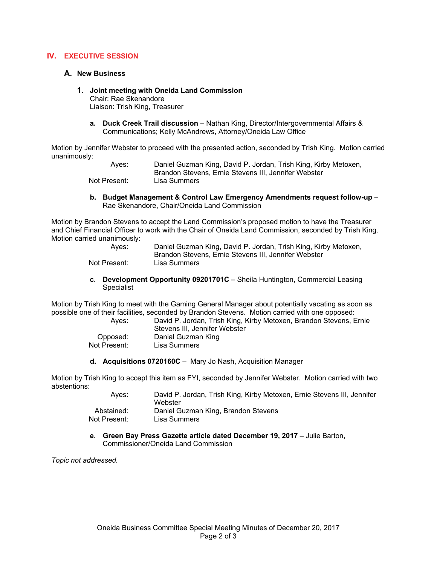#### **IV. EXECUTIVE SESSION**

#### **A. New Business**

## **1. Joint meeting with Oneida Land Commission**

Chair: Rae Skenandore Liaison: Trish King, Treasurer

**a. Duck Creek Trail discussion** – Nathan King, Director/Intergovernmental Affairs & Communications; Kelly McAndrews, Attorney/Oneida Law Office

Motion by Jennifer Webster to proceed with the presented action, seconded by Trish King. Motion carried unanimously:

> Ayes: Daniel Guzman King, David P. Jordan, Trish King, Kirby Metoxen, Brandon Stevens, Ernie Stevens III, Jennifer Webster Not Present: Lisa Summers

**b. Budget Management & Control Law Emergency Amendments request follow-up** – Rae Skenandore, Chair/Oneida Land Commission

Motion by Brandon Stevens to accept the Land Commission's proposed motion to have the Treasurer and Chief Financial Officer to work with the Chair of Oneida Land Commission, seconded by Trish King. Motion carried unanimously:

| Aves:        | Daniel Guzman King, David P. Jordan, Trish King, Kirby Metoxen, |
|--------------|-----------------------------------------------------------------|
|              | Brandon Stevens, Ernie Stevens III, Jennifer Webster            |
| Not Present: | Lisa Summers                                                    |

**c. Development Opportunity 09201701C –** Sheila Huntington, Commercial Leasing Specialist

Motion by Trish King to meet with the Gaming General Manager about potentially vacating as soon as possible one of their facilities, seconded by Brandon Stevens. Motion carried with one opposed:

| David P. Jordan, Trish King, Kirby Metoxen, Brandon Stevens, Ernie |
|--------------------------------------------------------------------|
| Stevens III. Jennifer Webster                                      |
| Danial Guzman King                                                 |
| Lisa Summers                                                       |
|                                                                    |

**d. Acquisitions 0720160C** –Mary Jo Nash, Acquisition Manager

Motion by Trish King to accept this item as FYI, seconded by Jennifer Webster. Motion carried with two abstentions:

| Aves:        | David P. Jordan, Trish King, Kirby Metoxen, Ernie Stevens III, Jennifer<br>Webster |
|--------------|------------------------------------------------------------------------------------|
| Abstained:   | Daniel Guzman King, Brandon Stevens                                                |
| Not Present: | Lisa Summers                                                                       |

**e.** Green Bay Press Gazette article dated December 19, 2017 – Julie Barton, Commissioner/Oneida Land Commission

*Topic not addressed.*